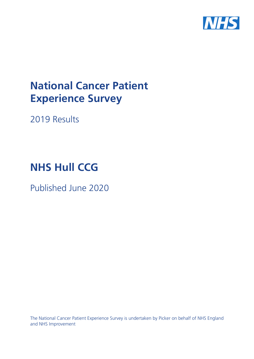

# **National Cancer Patient Experience Survey**

2019 Results

# **NHS Hull CCG**

Published June 2020

The National Cancer Patient Experience Survey is undertaken by Picker on behalf of NHS England and NHS Improvement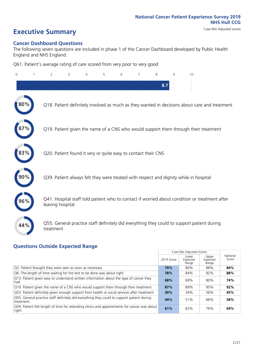# **Executive Summary** Case Mix Adjusted scores

### **Cancer Dashboard Questions**

The following seven questions are included in phase 1 of the Cancer Dashboard developed by Public Health England and NHS England:

Q61. Patient's average rating of care scored from very poor to very good

| $\Omega$ | 2                | 3                                                             | 4 | 5 | 6 | 8   | q | 10                                                                                            |
|----------|------------------|---------------------------------------------------------------|---|---|---|-----|---|-----------------------------------------------------------------------------------------------|
|          |                  |                                                               |   |   |   | 8.7 |   |                                                                                               |
|          |                  |                                                               |   |   |   |     |   | Q18. Patient definitely involved as much as they wanted in decisions about care and treatment |
|          |                  |                                                               |   |   |   |     |   | Q19. Patient given the name of a CNS who would support them through their treatment           |
| 83%      |                  | Q20. Patient found it very or quite easy to contact their CNS |   |   |   |     |   |                                                                                               |
|          |                  |                                                               |   |   |   |     |   | Q39. Patient always felt they were treated with respect and dignity while in hospital         |
|          | leaving hospital |                                                               |   |   |   |     |   | Q41. Hospital staff told patient who to contact if worried about condition or treatment after |
| 44%      | treatment        |                                                               |   |   |   |     |   | Q55. General practice staff definitely did everything they could to support patient during    |

### **Questions Outside Expected Range**

|                                                                                                         |            | Case Mix Adjusted Scores   |                            |                   |
|---------------------------------------------------------------------------------------------------------|------------|----------------------------|----------------------------|-------------------|
|                                                                                                         | 2019 Score | Lower<br>Expected<br>Range | Upper<br>Expected<br>Range | National<br>Score |
| Q2. Patient thought they were seen as soon as necessary                                                 | 79%        | 80%                        | 88%                        | 84%               |
| Q6. The length of time waiting for the test to be done was about right                                  | 78%        | 84%                        | 92%                        | 88%               |
| Q13. Patient given easy to understand written information about the type of cancer they<br>had          | 68%        | 69%                        | 80%                        | 74%               |
| Q19. Patient given the name of a CNS who would support them through their treatment                     | 87%        | 89%                        | 95%                        | 92%               |
| Q53. Patient definitely given enough support from health or social services after treatment             | 30%        | 34%                        | 56%                        | 45%               |
| Q55. General practice staff definitely did everything they could to support patient during<br>treatment | 44%        | 51%                        | 66%                        | 58%               |
| Q59. Patient felt length of time for attending clinics and appointments for cancer was about<br>right   | 61%        | 62%                        | 76%                        | 69%               |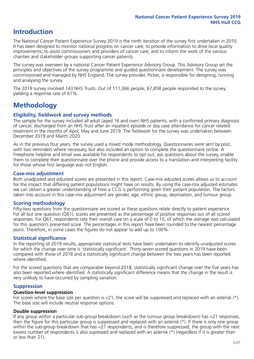# **Introduction**

The National Cancer Patient Experience Survey 2019 is the ninth iteration of the survey first undertaken in 2010. It has been designed to monitor national progress on cancer care; to provide information to drive local quality improvements; to assist commissioners and providers of cancer care; and to inform the work of the various charities and stakeholder groups supporting cancer patients.

The survey was overseen by a national Cancer Patient Experience Advisory Group. This Advisory Group set the principles and objectives of the survey programme and guided questionnaire development. The survey was commissioned and managed by NHS England. The survey provider, Picker, is responsible for designing, running and analysing the survey.

The 2019 survey involved 143 NHS Trusts. Out of 111,366 people, 67,858 people responded to the survey, yielding a response rate of 61%.

# **Methodology**

### **Eligibility, eldwork and survey methods**

The sample for the survey included all adult (aged 16 and over) NHS patients, with a confirmed primary diagnosis of cancer, discharged from an NHS Trust after an inpatient episode or day case attendance for cancer related treatment in the months of April, May and June 2019. The fieldwork for the survey was undertaken between December 2019 and March 2020.

As in the previous four years, the survey used a mixed mode methodology. Questionnaires were sent by post, with two reminders where necessary, but also included an option to complete the questionnaire online. A Freephone helpline and email was available for respondents to opt out, ask questions about the survey, enable them to complete their questionnaire over the phone and provide access to a translation and interpreting facility for those whose first language was not English.

### **Case-mix adjustment**

Both unadjusted and adjusted scores are presented in this report. Case-mix adjusted scores allows us to account for the impact that differing patient populations might have on results. By using the case-mix adjusted estimates we can obtain a greater understanding of how a CCG is performing given their patient population. The factors taken into account in this case-mix adjustment are gender, age, ethnic group, deprivation, and tumour group.

### **Scoring methodology**

Fifty-two questions from the questionnaire are scored as these questions relate directly to patient experience. For all but one question (Q61), scores are presented as the percentage of positive responses out of all scored responses. For Q61, respondents rate their overall care on a scale of 0 to 10, of which the average was calculated for this question's presented score. The percentages in this report have been rounded to the nearest percentage point. Therefore, in some cases the figures do not appear to add up to 100%.

### **Statistical significance**

In the reporting of 2019 results, appropriate statistical tests have been undertaken to identify unadjusted scores for which the change over time is 'statistically significant'. Thirty-seven scored questions in 2019 have been compared with those of 2018 and a statistically significant change between the two years has been reported where identified.

For the scored questions that are comparable beyond 2018, statistically significant change over the five years has also been reported where identified. A statistically significant difference means that the change in the result is very unlikely to have occurred by sampling variation.

### **Suppression**

### **Question-level suppression**

For scores where the base size per question is  $<$ 21, the score will be suppressed and replaced with an asterisk (\*). The base size will include neutral response options.

### **Double suppression**

If any group within a particular sub-group breakdown (such as the tumour group breakdown) has <21 responses, then the figure for this particular group is suppressed and replaced with an asterisk (\*). If there is only one group within the sub-group breakdown that has <21 respondents, and is therefore suppressed, the group with the next lowest number of respondents is also supressed and replaced with an asterisk (\*) (regardless if it is greater than or less than 21).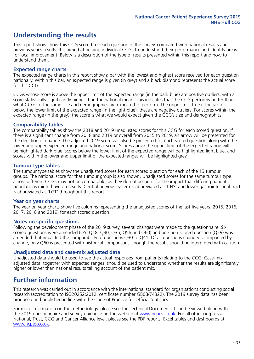# **Understanding the results**

This report shows how this CCG scored for each question in the survey, compared with national results and previous year's results. It is aimed at helping individual CCGs to understand their performance and identify areas for local improvement. Below is a description of the type of results presented within this report and how to understand them.

### **Expected range charts**

The expected range charts in this report show a bar with the lowest and highest score received for each question nationally. Within this bar, an expected range is given (in grey) and a black diamond represents the actual score for this CCG.

CCGs whose score is above the upper limit of the expected range (in the dark blue) are positive outliers, with a score statistically significantly higher than the national mean. This indicates that the CCG performs better than what CCGs of the same size and demographics are expected to perform. The opposite is true if the score is below the lower limit of the expected range (in the light blue); these are negative outliers. For scores within the expected range (in the grey), the score is what we would expect given the CCG's size and demographics.

### **Comparability tables**

The comparability tables show the 2018 and 2019 unadjusted scores for this CCG for each scored question. If there is a significant change from 2018 and 2019 or overall from 2015 to 2019, an arrow will be presented for the direction of change. The adjusted 2019 score will also be presented for each scored question along with the lower and upper expected range and national score. Scores above the upper limit of the expected range will be highlighted dark blue, scores below the lower limit of the expected range will be highlighted light blue, and scores within the lower and upper limit of the expected ranges will be highlighted grey.

### **Tumour type tables**

The tumour type tables show the unadjusted scores for each scored question for each of the 13 tumour groups. The national score for that tumour group is also shown. Unadjusted scores for the same tumour type across different CCGs may not be comparable, as they do not account for the impact that differing patient populations might have on results. Central nervous system is abbreviated as 'CNS' and lower gastrointestinal tract is abbreviated as 'LGT' throughout this report.

### **Year on year charts**

The year on year charts show five columns representing the unadjusted scores of the last five years (2015, 2016, 2017, 2018 and 2019) for each scored question.

### **Notes on specific questions**

Following the development phase of the 2019 survey, several changes were made to the questionnaire. Six scored questions were amended (Q5, Q18, Q30, Q35, Q56 and Q60) and one non-scored question (Q29) was amended that impacted the comparability of questions Q30 to Q41. Of all questions changed or impacted by change, only Q60 is presented with historical comparisons; though the results should be interpreted with caution.

### **Unadjusted data and case-mix adjusted data**

Unadjusted data should be used to see the actual responses from patients relating to the CCG. Case-mix adjusted data, together with expected ranges, should be used to understand whether the results are significantly higher or lower than national results taking account of the patient mix.

### **Further information**

This research was carried out in accordance with the international standard for organisations conducting social research (accreditation to ISO20252:2012; certificate number GB08/74322). The 2019 survey data has been produced and published in line with the Code of Practice for Official Statistics.

For more information on the methodology, please see the Technical Document. It can be viewed along with the 2019 questionnaire and survey quidance on the website at [www.ncpes.co.uk](https://www.ncpes.co.uk/supporting-documents). For all other outputs at National, Trust, CCG and Cancer Alliance level, please see the PDF reports, Excel tables and dashboards at [www.ncpes.co.uk.](https://www.ncpes.co.uk/current-results)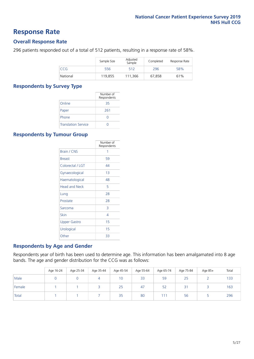### **Response Rate**

### **Overall Response Rate**

296 patients responded out of a total of 512 patients, resulting in a response rate of 58%.

|          | Sample Size | Adjusted<br>Sample | Completed | Response Rate |
|----------|-------------|--------------------|-----------|---------------|
| CCG      | 556         | 512                | 296       | 58%           |
| National | 119.855     | 111.366            | 67,858    | 61%           |

### **Respondents by Survey Type**

|                            | Number of<br>Respondents |
|----------------------------|--------------------------|
| Online                     | 35                       |
| Paper                      | 261                      |
| Phone                      |                          |
| <b>Translation Service</b> |                          |

### **Respondents by Tumour Group**

|                      | Number of<br>Respondents |
|----------------------|--------------------------|
| <b>Brain / CNS</b>   | 1                        |
| <b>Breast</b>        | 59                       |
| Colorectal / LGT     | 44                       |
| Gynaecological       | 1 <sub>3</sub>           |
| Haematological       | 48                       |
| <b>Head and Neck</b> | 5                        |
| Lung                 | 28                       |
| Prostate             | 28                       |
| Sarcoma              | 3                        |
| Skin                 | 4                        |
| Upper Gastro         | 15                       |
| Urological           | 15                       |
| Other                | 33                       |

### **Respondents by Age and Gender**

Respondents year of birth has been used to determine age. This information has been amalgamated into 8 age bands. The age and gender distribution for the CCG was as follows:

|        | Age 16-24 | Age 25-34 | Age 35-44 | Age 45-54 | Age 55-64 | Age 65-74 | Age 75-84              | Age 85+ | Total |
|--------|-----------|-----------|-----------|-----------|-----------|-----------|------------------------|---------|-------|
| Male   |           |           | 4         | 10        | 33        | 59        | 25                     |         | 133   |
| Female |           |           |           | 25        | 47        | 52        | $\neg$<br>$\prec$<br>ے |         | 163   |
| Total  |           |           |           | 35        | 80        | 111       | 56                     |         | 296   |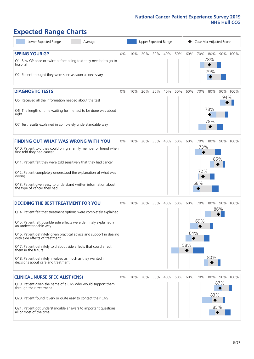# **Expected Range Charts**

| Lower Expected Range<br>Average                                                                                                                                                                                                                                                                                                                                                                                                                                                                                             |    |     | <b>Upper Expected Range</b> |     |     |     |                   | Case Mix Adjusted Score       |                   |     |          |
|-----------------------------------------------------------------------------------------------------------------------------------------------------------------------------------------------------------------------------------------------------------------------------------------------------------------------------------------------------------------------------------------------------------------------------------------------------------------------------------------------------------------------------|----|-----|-----------------------------|-----|-----|-----|-------------------|-------------------------------|-------------------|-----|----------|
| <b>SEEING YOUR GP</b><br>Q1. Saw GP once or twice before being told they needed to go to<br>hospital<br>Q2. Patient thought they were seen as soon as necessary                                                                                                                                                                                                                                                                                                                                                             | 0% | 10% | 20%                         | 30% | 40% | 50% | 60%               | 70%                           | 80%<br>78%<br>79% |     | 90% 100% |
| <b>DIAGNOSTIC TESTS</b><br>Q5. Received all the information needed about the test<br>Q6. The length of time waiting for the test to be done was about<br>right<br>Q7. Test results explained in completely understandable way                                                                                                                                                                                                                                                                                               | 0% | 10% | 20%                         | 30% | 40% | 50% | 60%               | 70%                           | 80%<br>78%<br>78% | 94% | 90% 100% |
| <b>FINDING OUT WHAT WAS WRONG WITH YOU</b><br>Q10. Patient told they could bring a family member or friend when<br>first told they had cancer<br>Q11. Patient felt they were told sensitively that they had cancer<br>Q12. Patient completely understood the explanation of what was<br>wrong<br>Q13. Patient given easy to understand written information about<br>the type of cancer they had                                                                                                                             | 0% | 10% | 20%                         | 30% | 40% | 50% | 60%               | 70%<br>73%<br>◆<br>72%<br>68% | 80%               | 85% | 90% 100% |
| <b>DECIDING THE BEST TREATMENT FOR YOU</b><br>Q14. Patient felt that treatment options were completely explained<br>Q15. Patient felt possible side effects were definitely explained in<br>an understandable way<br>Q16. Patient definitely given practical advice and support in dealing<br>with side effects of treatment<br>Q17. Patient definitely told about side effects that could affect<br>them in the future<br>Q18. Patient definitely involved as much as they wanted in<br>decisions about care and treatment | 0% | 10% | 20%                         | 30% | 40% | 50% | 60%<br>64%<br>58% | 70%<br>69%                    | 80%<br>80%        | 86% | 90% 100% |
| <b>CLINICAL NURSE SPECIALIST (CNS)</b><br>Q19. Patient given the name of a CNS who would support them<br>through their treatment<br>Q20. Patient found it very or quite easy to contact their CNS<br>Q21. Patient got understandable answers to important questions<br>all or most of the time                                                                                                                                                                                                                              | 0% | 10% | 20%                         | 30% | 40% | 50% | 60%               | 70%                           | 80%<br>83%<br>85% | 87% | 90% 100% |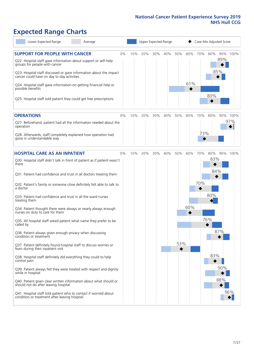# **Expected Range Charts**

| Lower Expected Range<br>Average                                                                                                                                                                                 |    |     |     |     | Upper Expected Range |     |     | Case Mix Adjusted Score |            |            |          |
|-----------------------------------------------------------------------------------------------------------------------------------------------------------------------------------------------------------------|----|-----|-----|-----|----------------------|-----|-----|-------------------------|------------|------------|----------|
| <b>SUPPORT FOR PEOPLE WITH CANCER</b><br>Q22. Hospital staff gave information about support or self-help<br>groups for people with cancer<br>Q23. Hospital staff discussed or gave information about the impact | 0% | 10% | 20% | 30% | 40%                  | 50% | 60% | 70%                     | 80%        | 89%<br>85% | 90% 100% |
| cancer could have on day to day activities<br>Q24. Hospital staff gave information on getting financial help or<br>possible benefits                                                                            |    |     |     |     |                      |     | 61% |                         | 80%        |            |          |
| Q25. Hospital staff told patient they could get free prescriptions                                                                                                                                              |    |     |     |     |                      |     |     |                         |            |            |          |
| <b>OPERATIONS</b>                                                                                                                                                                                               | 0% | 10% | 20% | 30% | 40%                  | 50% | 60% | 70%                     | 80%        |            | 90% 100% |
| Q27. Beforehand, patient had all the information needed about the<br>operation                                                                                                                                  |    |     |     |     |                      |     |     |                         |            |            | 97%      |
| Q28. Afterwards, staff completely explained how operation had<br>gone in understandable way                                                                                                                     |    |     |     |     |                      |     |     | 73%                     |            |            |          |
| <b>HOSPITAL CARE AS AN INPATIENT</b>                                                                                                                                                                            | 0% | 10% | 20% | 30% | 40%                  | 50% | 60% | 70%                     | 80%        |            | 90% 100% |
| Q30. Hospital staff didn't talk in front of patient as if patient wasn't<br>there                                                                                                                               |    |     |     |     |                      |     |     |                         | 83%<br>84% |            |          |
| Q31. Patient had confidence and trust in all doctors treating them                                                                                                                                              |    |     |     |     |                      |     |     |                         |            |            |          |
| Q32. Patient's family or someone close definitely felt able to talk to<br>a doctor                                                                                                                              |    |     |     |     |                      |     |     | 70%                     |            |            |          |
| Q33. Patient had confidence and trust in all the ward nurses<br>treating them                                                                                                                                   |    |     |     |     |                      |     |     |                         | 80%        |            |          |
| Q34. Patient thought there were always or nearly always enough<br>nurses on duty to care for them                                                                                                               |    |     |     |     |                      |     | 60% |                         |            |            |          |
| Q35. All hospital staff asked patient what name they prefer to be<br>called by                                                                                                                                  |    |     |     |     |                      |     |     |                         | 76%        |            |          |
| Q36. Patient always given enough privacy when discussing<br>condition or treatment                                                                                                                              |    |     |     |     |                      |     |     |                         |            | 87%        |          |
| Q37. Patient definitely found hospital staff to discuss worries or<br>fears during their inpatient visit                                                                                                        |    |     |     |     |                      | 53% |     |                         |            |            |          |
| Q38. Hospital staff definitely did everything they could to help<br>control pain                                                                                                                                |    |     |     |     |                      |     |     |                         | 83%        |            |          |
| Q39. Patient always felt they were treated with respect and dignity<br>while in hospital                                                                                                                        |    |     |     |     |                      |     |     |                         |            | 90%        |          |
| Q40. Patient given clear written information about what should or<br>should not do after leaving hospital                                                                                                       |    |     |     |     |                      |     |     |                         |            | 88%        |          |
| Q41. Hospital staff told patient who to contact if worried about<br>condition or treatment after leaving hospital                                                                                               |    |     |     |     |                      |     |     |                         |            |            | 96%      |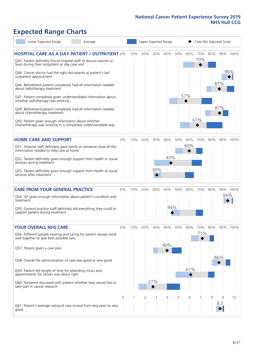# **Expected Range Charts**

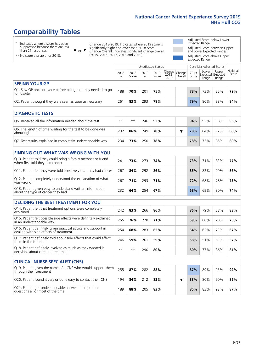# **Comparability Tables**

\* Indicates where a score has been suppressed because there are less than 21 responses.

\*\* No score available for 2018.

 $\triangle$  or  $\nabla$ 

Change 2018-2019: Indicates where 2019 score is significantly higher or lower than 2018 score Change Overall: Indicates significant change overall (2015, 2016, 2017, 2018 and 2019).

Adjusted Score below Lower Expected Range Adjusted Score between Upper and Lower Expected Ranges Adjusted Score above Upper

Expected Range

|                                                                             |           |               | Unadjusted Scores |               |                                                  |         |               | Case Mix Adjusted Scores |                                     |                   |
|-----------------------------------------------------------------------------|-----------|---------------|-------------------|---------------|--------------------------------------------------|---------|---------------|--------------------------|-------------------------------------|-------------------|
|                                                                             | 2018<br>n | 2018<br>Score | 2019<br>n         | 2019<br>Score | $\sqrt{(\text{Change})}$ Change<br>2018-<br>2019 | Overall | 2019<br>Score | Lower<br>Range           | Upper<br>Expected Expected<br>Range | National<br>Score |
| <b>SEEING YOUR GP</b>                                                       |           |               |                   |               |                                                  |         |               |                          |                                     |                   |
| Q1. Saw GP once or twice before being told they needed to go<br>to hospital | 188       | 70%           | 201               | 75%           |                                                  |         | 78%           | 73%                      | 85%                                 | 79%               |
| Q2. Patient thought they were seen as soon as necessary                     | 261       | 83%           | 293               | 78%           |                                                  |         | 79%           | 80%                      | 88%                                 | 84%               |
| <b>DIAGNOSTIC TESTS</b>                                                     |           |               |                   |               |                                                  |         |               |                          |                                     |                   |
|                                                                             |           |               |                   |               |                                                  |         |               |                          |                                     |                   |

| Q5. Received all the information needed about the test                    | $***$ | **  | 746 | 93% |  | 94%        | 92% | 98% | 95% |
|---------------------------------------------------------------------------|-------|-----|-----|-----|--|------------|-----|-----|-----|
| Q6. The length of time waiting for the test to be done was<br>about right | 232   | 86% | 249 | 78% |  | <b>78%</b> | 84% | 92% | 88% |
| Q7. Test results explained in completely understandable way               | 234   | 73% | 250 | 78% |  | 78%        | 75% | 85% | 80% |

| <b>FINDING OUT WHAT WAS WRONG WITH YOU</b>                                                      |     |     |     |     |     |     |     |     |
|-------------------------------------------------------------------------------------------------|-----|-----|-----|-----|-----|-----|-----|-----|
| Q10. Patient told they could bring a family member or friend<br>when first told they had cancer | 241 | 73% | 273 | 74% | 73% | 71% | 83% | 77% |
| Q11. Patient felt they were told sensitively that they had cancer                               | 267 | 84% | 292 | 86% | 85% | 82% | 90% | 86% |
| Q12. Patient completely understood the explanation of what<br>was wrong                         | 267 | 71% | 293 | 71% | 72% | 68% | 78% | 73% |
| Q13. Patient given easy to understand written information<br>about the type of cancer they had  | 232 | 64% | 254 | 67% | 68% | 69% | 80% | 74% |

| <b>DECIDING THE BEST TREATMENT FOR YOU</b>                                                              |      |     |     |     |  |     |     |     |     |
|---------------------------------------------------------------------------------------------------------|------|-----|-----|-----|--|-----|-----|-----|-----|
| Q14. Patient felt that treatment options were completely<br>explained                                   | 242  | 83% | 266 | 86% |  | 86% | 79% | 88% | 83% |
| Q15. Patient felt possible side effects were definitely explained<br>in an understandable way           | 255  | 76% | 278 | 71% |  | 69% | 68% | 78% | 73% |
| Q16. Patient definitely given practical advice and support in<br>dealing with side effects of treatment | 254  | 68% | 283 | 65% |  | 64% | 62% | 73% | 67% |
| Q17. Patient definitely told about side effects that could affect<br>them in the future                 | 246  | 59% | 261 | 59% |  | 58% | 51% | 63% | 57% |
| Q18. Patient definitely involved as much as they wanted in<br>decisions about care and treatment        | $**$ | **  | 290 | 80% |  | 80% | 77% | 86% | 81% |

| <b>CLINICAL NURSE SPECIALIST (CNS)</b>                                                    |     |     |     |     |  |     |     |     |     |
|-------------------------------------------------------------------------------------------|-----|-----|-----|-----|--|-----|-----|-----|-----|
| Q19. Patient given the name of a CNS who would support them<br>through their treatment    | 255 | 87% | 282 | 88% |  | 87% | 89% | 95% | 92% |
| Q20. Patient found it very or quite easy to contact their CNS                             | 194 | 84% | 212 | 83% |  | 83% | 80% | 90% | 85% |
| Q21. Patient got understandable answers to important<br>questions all or most of the time | 189 | 88% | 205 | 83% |  | 85% | 83% | 92% | 87% |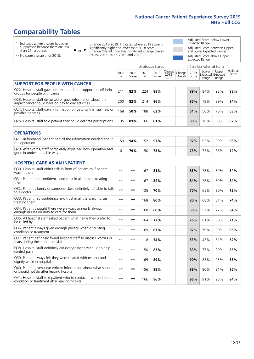# **Comparability Tables**

\* Indicates where a score has been suppressed because there are less than 21 responses.

\*\* No score available for 2018.

 $\triangle$  or  $\nabla$ 

Change 2018-2019: Indicates where 2019 score is significantly higher or lower than 2018 score Change Overall: Indicates significant change overall (2015, 2016, 2017, 2018 and 2019).

Adjusted Score below Lower Expected Range Adjusted Score between Upper and Lower Expected Ranges Adjusted Score above Upper Expected Range

|                                                                                                                   |           |               |           | <b>Unadjusted Scores</b> |                            |                   |               | Case Mix Adjusted Scores |                                     |                   |
|-------------------------------------------------------------------------------------------------------------------|-----------|---------------|-----------|--------------------------|----------------------------|-------------------|---------------|--------------------------|-------------------------------------|-------------------|
|                                                                                                                   | 2018<br>n | 2018<br>Score | 2019<br>n | 2019<br>Score            | Change<br>$2018 -$<br>2019 | Change<br>Overall | 2019<br>Score | Lower<br>Range           | Upper<br>Expected Expected<br>Range | National<br>Score |
| <b>SUPPORT FOR PEOPLE WITH CANCER</b>                                                                             |           |               |           |                          |                            |                   |               |                          |                                     |                   |
| Q22. Hospital staff gave information about support or self-help<br>groups for people with cancer                  | 211       | 82%           | 224       | 89%                      |                            |                   | 89%           | 84%                      | 92%                                 | 88%               |
| Q23. Hospital staff discussed or gave information about the<br>impact cancer could have on day to day activities  | 200       | 82%           | 214       | 86%                      |                            |                   | 85%           | 79%                      | 89%                                 | 84%               |
| Q24. Hospital staff gave information on getting financial help or<br>possible benefits                            | 168       | 50%           | 188       | 62%                      |                            |                   | 61%           | 56%                      | 70%                                 | 63%               |
| Q25. Hospital staff told patient they could get free prescriptions                                                | 135       | 81%           | 166       | 81%                      |                            |                   | 80%           | 76%                      | 88%                                 | 82%               |
| <b>OPERATIONS</b>                                                                                                 |           |               |           |                          |                            |                   |               |                          |                                     |                   |
| Q27. Beforehand, patient had all the information needed about<br>the operation                                    | 159       | 94%           | 152       | 97%                      |                            |                   | 97%           | 93%                      | 99%                                 | 96%               |
| Q28. Afterwards, staff completely explained how operation had<br>gone in understandable way                       | 161       | 79%           | 150       | 73%                      |                            |                   | 73%           | 73%                      | 86%                                 | 79%               |
| <b>HOSPITAL CARE AS AN INPATIENT</b>                                                                              |           |               |           |                          |                            |                   |               |                          |                                     |                   |
| Q30. Hospital staff didn't talk in front of patient as if patient<br>wasn't there                                 | $* *$     | $***$         | 167       | 81%                      |                            |                   | 83%           | 78%                      | 89%                                 | 84%               |
| Q31. Patient had confidence and trust in all doctors treating<br>them                                             | $**$      | $\star\star$  | 167       | 84%                      |                            |                   | 84%           | 78%                      | 89%                                 | 84%               |
| Q32. Patient's family or someone close definitely felt able to talk<br>to a doctor                                | $* *$     | $***$         | 135       | 70%                      |                            |                   | 70%           | 65%                      | 80%                                 | 72%               |
| O33. Patient had confidence and trust in all the ward nurses<br>treating them                                     | $**$      | $***$         | 168       | 80%                      |                            |                   | 80%           | 68%                      | 81%                                 | 74%               |
| Q34. Patient thought there were always or nearly always<br>enough nurses on duty to care for them                 | $* *$     | $\star\star$  | 168       | 60%                      |                            |                   | 60%           | 57%                      | 72%                                 | 64%               |
| Q35. All hospital staff asked patient what name they prefer to<br>be called by                                    | $* *$     | $***$         | 164       | 77%                      |                            |                   | 76%           | 61%                      | 80%                                 | 71%               |
| Q36. Patient always given enough privacy when discussing<br>condition or treatment                                | $* *$     | $***$         | 169       | 87%                      |                            |                   | 87%           | 79%                      | 90%                                 | 85%               |
| Q37. Patient definitely found hospital staff to discuss worries or<br>fears during their inpatient visit          | $**$      | $***$         | 118       | 54%                      |                            |                   | 53%           | 43%                      | 61%                                 | 52%               |
| Q38. Hospital staff definitely did everything they could to help<br>control pain                                  | $* *$     | $\star\star$  | 150       | 83%                      |                            |                   | 83%           | 77%                      | 89%                                 | 83%               |
| Q39. Patient always felt they were treated with respect and<br>dignity while in hospital                          | $***$     | $***$         | 169       | 89%                      |                            |                   | 90%           | 83%                      | 93%                                 | 88%               |
| Q40. Patient given clear written information about what should<br>or should not do after leaving hospital         | $* *$     | $***$         | 156       | 88%                      |                            |                   | 88%           | 80%                      | 91%                                 | 86%               |
| Q41. Hospital staff told patient who to contact if worried about<br>condition or treatment after leaving hospital | $**$      | $***$         | 166       | 96%                      |                            |                   | 96%           | 91%                      | 98%                                 | 94%               |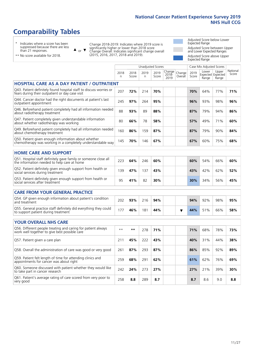Unadjusted Scores **Case Mix Adjusted Scores** 

# **Comparability Tables**

\* Indicates where a score has been suppressed because there are less than 21 responses.

 $\triangle$  or  $\nabla$ 

Change 2018-2019: Indicates where 2019 score is significantly higher or lower than 2018 score Change Overall: Indicates significant change overall (2015, 2016, 2017, 2018 and 2019).

Adjusted Score below Lower Expected Range Adjusted Score between Upper and Lower Expected Ranges Adjusted Score above Upper Expected Range

| ** No score available for 2018. |  |  |  |  |
|---------------------------------|--|--|--|--|

|                                                                                                                       | 2018<br>n | 2018<br>Score | 2019<br>n | 2019<br>Score | Change<br>$2018 -$<br>2019 | Change<br>Overall | 2019<br>Score | Lower<br>Range | Upper<br>Expected Expected<br>Range | National<br>Score |
|-----------------------------------------------------------------------------------------------------------------------|-----------|---------------|-----------|---------------|----------------------------|-------------------|---------------|----------------|-------------------------------------|-------------------|
| <b>HOSPITAL CARE AS A DAY PATIENT / OUTPATIENT</b>                                                                    |           |               |           |               |                            |                   |               |                |                                     |                   |
| Q43. Patient definitely found hospital staff to discuss worries or<br>fears during their outpatient or day case visit | 207       | 72%           | 214       | 70%           |                            |                   | 70%           | 64%            | 77%                                 | 71%               |
| Q44. Cancer doctor had the right documents at patient's last<br>outpatient appointment                                | 245       | 97%           | 264       | 95%           |                            |                   | 96%           | 93%            | 98%                                 | 96%               |
| Q46. Beforehand patient completely had all information needed<br>about radiotherapy treatment                         | 88        | 93%           | 89        | 88%           |                            |                   | 87%           | 79%            | 94%                                 | 86%               |
| Q47. Patient completely given understandable information<br>about whether radiotherapy was working                    | 80        | 66%           | 78        | 58%           |                            |                   | 57%           | 49%            | 71%                                 | 60%               |
| Q49. Beforehand patient completely had all information needed<br>about chemotherapy treatment                         | 160       | 86%           | 159       | 87%           |                            |                   | 87%           | 79%            | 90%                                 | 84%               |
| Q50. Patient given enough information about whether<br>chemotherapy was working in a completely understandable way    | 145       | 70%           | 146       | 67%           |                            |                   | 67%           | 60%            | 75%                                 | 68%               |
| <b>HOME CARE AND SUPPORT</b>                                                                                          |           |               |           |               |                            |                   |               |                |                                     |                   |
| Q51. Hospital staff definitely gave family or someone close all<br>the information needed to help care at home        | 223       | 64%           | 246       | 60%           |                            |                   | 60%           | 54%            | 66%                                 | 60%               |
| Q52. Patient definitely given enough support from health or<br>social services during treatment                       | 139       | 47%           | 137       | 43%           |                            |                   | 43%           | 42%            | 62%                                 | 52%               |
| Q53. Patient definitely given enough support from health or<br>social services after treatment                        | 95        | 41%           | 82        | 30%           |                            |                   | 30%           | 34%            | 56%                                 | 45%               |
| <b>CARE FROM YOUR GENERAL PRACTICE</b>                                                                                |           |               |           |               |                            |                   |               |                |                                     |                   |
| Q54. GP given enough information about patient's condition<br>and treatment                                           | 202       | 93%           | 216       | 94%           |                            |                   | 94%           | 92%            | 98%                                 | 95%               |
| Q55. General practice staff definitely did everything they could<br>to support patient during treatment               | 177       | 46%           | 181       | 44%           |                            | ▼                 | 44%           | 51%            | 66%                                 | 58%               |
| <b>YOUR OVERALL NHS CARE</b>                                                                                          |           |               |           |               |                            |                   |               |                |                                     |                   |
| Q56. Different people treating and caring for patient always<br>work well together to give best possible care         | $**$      | **            | 278       | 71%           |                            |                   | 71%           | 68%            | 78%                                 | 73%               |
| Q57. Patient given a care plan                                                                                        | 211       | 45%           | 222       | 43%           |                            |                   | 40%           | 31%            | 44%                                 | 38%               |
| Q58. Overall the administration of care was good or very good                                                         | 261       | 87%           | 293       | 87%           |                            |                   | 86%           | 85%            | 92%                                 | 89%               |
| Q59. Patient felt length of time for attending clinics and<br>appointments for cancer was about right                 | 259       | 68%           | 291       | 62%           |                            |                   | 61%           | 62%            | 76%                                 | 69%               |
| Q60. Someone discussed with patient whether they would like<br>to take part in cancer research                        | 242       | 24%           | 273       | 27%           |                            |                   | 27%           | 21%            | 39%                                 | 30%               |
| Q61. Patient's average rating of care scored from very poor to<br>very good                                           | 258       | 8.8           | 289       | 8.7           |                            |                   | 8.7           | 8.6            | 9.0                                 | 8.8               |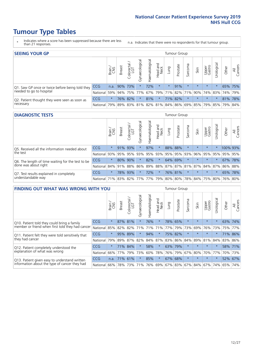- \* Indicates where a score has been suppressed because there are less than 21 responses.
- n.a. Indicates that there were no respondents for that tumour group.

| <b>SEEING YOUR GP</b>                           |            |              |               |             |                    |                |                  |         | Tumour Group                                              |         |         |                 |                       |         |                |
|-------------------------------------------------|------------|--------------|---------------|-------------|--------------------|----------------|------------------|---------|-----------------------------------------------------------|---------|---------|-----------------|-----------------------|---------|----------------|
|                                                 |            | Brain<br>CNS | <b>Breast</b> | Colorectal  | ᠊ᢛ<br>Gynaecologic | Haematological | Head and<br>Neck | Lung    | Prostate                                                  | Sarcoma | Skin    | Upper<br>Gastro | $\sigma$<br>Jrologica | Other   | All<br>Cancers |
| Q1. Saw GP once or twice before being told they | CCG        | n.a.         |               | 90% 73%     |                    | 72%            | $\star$          | $\star$ | 91%                                                       | $\star$ | $\star$ | $\star$         |                       | 65% 75% |                |
| needed to go to hospital                        | National   | 59%          |               | 94% 75% 77% |                    |                |                  |         | 67%   79%   71%   82%   71%   90%   74%   83%   74%   79% |         |         |                 |                       |         |                |
| Q2. Patient thought they were seen as soon as   | <b>CCG</b> | $\star$      |               | 76% 82%     | $\star$            | 81%            | $\star$          |         | 71% 82%                                                   |         | $\star$ | $\star$         |                       | 81% 78% |                |
| necessary                                       | National   | 79%          |               | 89% 83%     |                    |                |                  |         | 81%   82%   81%   84%   86%   69%   85%   79%   85%   79% |         |         |                 |                       |         | 84%            |

#### **DIAGNOSTIC TESTS** Tumour Group

|                                                   |                                          | Brain<br>CNS | <b>Breast</b> | Colorectal<br>LGT | ᠊ᢛ<br>Gynaecologic | Haematological | Head and<br>Neck | Lung        | Prostate | Sarcoma | Skin    | Upper<br>Gastro | rological                           | Other    | All<br>Cancers |
|---------------------------------------------------|------------------------------------------|--------------|---------------|-------------------|--------------------|----------------|------------------|-------------|----------|---------|---------|-----------------|-------------------------------------|----------|----------------|
| Q5. Received all the information needed about     | <b>CCG</b>                               | $\star$      |               | 91% 93%           |                    | 97%            | $\star$          |             | 88% 88%  |         | $\star$ | $\star$         | $\star$                             | 100% 93% |                |
| $\vert$ the test                                  | National                                 | 93%          |               | 95% 95%           |                    | 93% 95%        |                  | 93% 95% 95% |          | 93%     | 96%     |                 | 95% 95%                             | 95% 95%  |                |
| Q6. The length of time waiting for the test to be | <b>CCG</b>                               | $\star$      |               | 80% 90%           | $\star$            | 82%            | $\star$          |             | 64% 69%  |         | $\star$ | $\star$         | $\star$                             | 67%      | 78%            |
| done was about right                              | National                                 |              |               | 84% 91% 88%       |                    |                |                  |             |          |         |         |                 | 86% 89% 88% 87% 87% 81% 87% 84% 87% | 86% 88%  |                |
| Q7. Test results explained in completely          | <b>CCG</b>                               | $\star$      |               | 78% 93%           |                    | 72%            | $\ast$           |             | 76% 81%  |         | $\star$ | $\star$         | $\star$                             | 65%      | 78%            |
| understandable way                                | National 71% 83% 82% 77% 77% 79% 80% 80% |              |               |                   |                    |                |                  |             |          |         |         |                 | 78% 84% 75% 80% 76% 80%             |          |                |

| <b>FINDING OUT WHAT WAS WRONG WITH YOU</b>        |          |         |               |                       |                |                   |                        |         | <b>Tumour Group</b> |         |         |                 |           |       |                |
|---------------------------------------------------|----------|---------|---------------|-----------------------|----------------|-------------------|------------------------|---------|---------------------|---------|---------|-----------------|-----------|-------|----------------|
|                                                   |          | Brain   | <b>Breast</b> | olorectal<br>LGT<br>Û | Gynaecological | aematologica<br>エ | ad and<br>Neck<br>Head | Lung    | Prostate            | Sarcoma | Skin    | Upper<br>Gastro | rological | Other | All<br>Cancers |
| Q10. Patient told they could bring a family       | CCG      | $\star$ |               | 87% 81%               |                | 76%               | $\star$                | 78%     | 65%                 | $\star$ | $\star$ | $\star$         | $\star$   | 63%   | 74%            |
| member or friend when first told they had cancer  | National | 85%     | 82%           | 82%                   | 71%            | 71%               | 71%                    | 77%     | 79%                 | 73%     | 69%     | 76%             | 73%       | 75%   | 77%            |
| Q11. Patient felt they were told sensitively that | CCG      | $\star$ | 95% 89%       |                       |                | 94%               | $\star$                |         | 75% 82%             | $\star$ | $\star$ | $\star$         |           |       | 71% 86%        |
| they had cancer                                   | National | 79%     |               | 89% 87% 82%           |                |                   | 84% 87%                |         | 83% 86%             | 84%     |         | 89% 81% 84%     |           | 83%   | 86%            |
| Q12. Patient completely understood the            | CCG      | $\star$ | 71%           | 84%                   |                | 58%               | $\star$                | 63%     | 79%                 | $\star$ |         | $\star$         |           |       | 58% 71%        |
| explanation of what was wrong                     | National |         | 66% 77%       | 79%                   | 73%            | 60%               | 78%                    | 76%     | 79%                 | 67%     | 80%     | 70%             | 77%       | 70%   | 73%            |
| Q13. Patient given easy to understand written     | CCG      | n.a.    | 71% 61%       |                       |                | 85%               | $\star$                | 67% 68% |                     | $\star$ | $\star$ | $\star$         |           |       | 52% 67%        |
| information about the type of cancer they had     | National | $66\%$  | 78%           | 73%                   | 71%            | 76%               | 69%                    | 67% 83% |                     | 67%     | 84%     | 67%             | 74%       | 65%   | 74%            |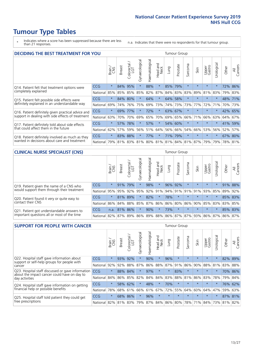- \* Indicates where a score has been suppressed because there are less than 21 responses.
- n.a. Indicates that there were no respondents for that tumour group.

| <b>DECIDING THE BEST TREATMENT FOR YOU</b>         |            |         |               |            |                |                |                         |      | <b>Tumour Group</b> |                                     |         |                 |            |       |                |
|----------------------------------------------------|------------|---------|---------------|------------|----------------|----------------|-------------------------|------|---------------------|-------------------------------------|---------|-----------------|------------|-------|----------------|
|                                                    |            | Brain   | <b>Breast</b> | Colorectal | Gynaecological | Haematological | ead and<br>Neck<br>Head | Lung | Prostate            | Sarcoma                             | Skin    | Upper<br>Gastro | Jrological | Other | All<br>Cancers |
| Q14. Patient felt that treatment options were      | CCG        | $\star$ | 84%           | 95%        | $\star$        | 88%            | $\star$                 | 85%  | 79%                 | $\star$                             | $\star$ | $\star$         | $\star$    | 72%   | 86%            |
| completely explained                               | National   | 85%     | 85%           | 85%        | 85%            | 82%            | 87%                     |      | 84% 83%             | 83%                                 | 89%     | 81%             | 83%        |       | 79% 83%        |
| Q15. Patient felt possible side effects were       | CCG        | $\star$ | 84%           | 80%        | $\star$        | 64%            | $\star$                 | 64%  | 58%                 | $\star$                             |         | $\star$         | $\star$    | 48%   | 171%           |
| definitely explained in an understandable way      | National   | 69%     | 74%           | 76%        | 75%            | 69%            | 73%                     |      | 74% 73%             | 73%                                 | 77%     | 72%             | 71%        | 70%   | 73%            |
| Q16. Patient definitely given practical advice and | <b>CCG</b> | $\star$ | 69%           | 77%        | $\star$        | 72%            | $\star$                 |      | 63% 67%             | $\star$                             | $\star$ | $\star$         | $\star$    |       | 42% 65%        |
| support in dealing with side effects of treatment  | National   | 63%     | 70%           | 70%        | 69%            | 65%            | 70%                     |      | 69% 65%             | 66%                                 | 71%     | 66%             | 63%        | 64%   | 67%            |
| Q17. Patient definitely told about side effects    | CCG        | $\star$ | 57%           | 78%        |                | 57%            | $\star$                 | 54%  | 60%                 | $\star$                             | $\star$ | $\star$         | $\star$    | 41%   | 59%            |
| that could affect them in the future               | National   | 62%     | 57%           | 59%        | 56%            | 51%            | 64%                     | 56%  | 66%                 | 54%                                 | 66%     | 53%             | 56%        | 52%   | 57%            |
| Q18. Patient definitely involved as much as they   | <b>CCG</b> | $\star$ | 83%           | 88%        | $\star$        | 77%            | $\star$                 | 71%  | 79%                 | $\star$                             | $\star$ | $\star$         | $^\star$   |       | 67% 80%        |
| wanted in decisions about care and treatment       | National   | 79%     |               |            |                |                |                         |      |                     | 81% 83% 81% 80% 81% 81% 84% 81% 87% |         | 79%             | 79%        |       | 78% 81%        |

#### **CLINICAL NURSE SPECIALIST (CNS)** Tumour Group

|                                             |          | Brain           | <b>Breast</b> | Colorectal<br>LGT | Gynaecologica   | శా<br>aematologi | Head and<br>Neck | Lung                    | Prostate | Sarcoma | Skin    | Upper<br>Gastro | $\sigma$<br>rologica | Other   | All<br>Cancers |
|---------------------------------------------|----------|-----------------|---------------|-------------------|-----------------|------------------|------------------|-------------------------|----------|---------|---------|-----------------|----------------------|---------|----------------|
| Q19. Patient given the name of a CNS who    | CCG      | $\star$         |               | 91% 79%           |                 | 98%              | $\star$          | 96% 92%                 |          | $\star$ | $\star$ | $\star$         |                      | 91% 88% |                |
| would support them through their treatment  | National | 95%             | 95%           | 92%               | 95%             | 92%              | 91%              |                         | 94% 91%  | 91%     | 91%     | 93%             | 85%                  | 89%     | 92%            |
| Q20. Patient found it very or quite easy to | CCG      | $\star$         | 81% 89%       |                   |                 | 82%              | $\star$          | 78%                     | $\star$  | $\star$ | $\star$ | $\star$         |                      |         | 85% 83%        |
| contact their CNS                           | National |                 |               |                   | 86% 84% 88% 85% | 87%              | 86%              | 86% 80%                 |          |         |         | 86% 90% 85% 83% |                      | 83%     | 85%            |
| Q21. Patient got understandable answers to  | CCG      | n.a.            | 81% 86%       |                   |                 | 90%              | $\star$          | 73%                     | $\star$  | $\star$ | $\star$ | $\star$         | $\star$              | 85% 83% |                |
| important questions all or most of the time | National | 82% 87% 89% 86% |               |                   |                 |                  |                  | 89% 88% 86% 87% 87% 93% |          |         |         | 86% 87%         |                      | 86%     | 87%            |

| <b>SUPPORT FOR PEOPLE WITH CANCER</b>                                                             |            |         |               |            |                |                |                         |         | <b>Tumour Group</b> |         |         |                 |            |       |                |
|---------------------------------------------------------------------------------------------------|------------|---------|---------------|------------|----------------|----------------|-------------------------|---------|---------------------|---------|---------|-----------------|------------|-------|----------------|
|                                                                                                   |            | Brain   | <b>Breast</b> | Colorectal | Gynaecological | Haematological | ead and<br>Neck<br>Head | Lung    | Prostate            | Sarcoma | Skin    | Upper<br>Gastro | Irological | Other | All<br>Cancers |
| Q22. Hospital staff gave information about<br>support or self-help groups for people with         | <b>CCG</b> | $\star$ | 93%           | 92%        | $\star$        | 90%            | $\star$                 | 96%     | $\star$             | $\star$ | $\star$ | $\star$         | $\star$    | 82%   | 89%            |
| cancer                                                                                            | National   | 92%     | 92%           | 88%        | 87%            | 86%            | 88%                     | 87%     | 91%                 | 86%     | 90%     | 88%             | 81%        | 83%   | 88%            |
| Q23. Hospital staff discussed or gave information<br>about the impact cancer could have on day to | CCG        | $\star$ | 88%           | 84%        | $\star$        | 97%            | $\star$                 | $\star$ | 83%                 | $\star$ | $\star$ | $\star$         | $^\star$   | 70%   | 86%            |
| day activities                                                                                    | National   | 84%     | 86%           | 85%        | 82%            | 84%            | 84%                     | 83%     | 88%                 | 81%     | 86%     | 83%             | 78%        | 79%   | 84%            |
| Q24. Hospital staff gave information on getting                                                   | CCG        | $\star$ | 58%           | 62%        | $\star$        | 48%            | $\ast$                  | 70%     | $\star$             | $\star$ | $\star$ | $\star$         | $\star$    |       | 76% 62%        |
| financial help or possible benefits                                                               | National   | 78%     | 68%           | 61%        | 66%            | 61%            | 67%                     | 72%     | 55%                 | 64%     | 60%     | 64%             | 47%        | 59%   | 63%            |
| Q25. Hospital staff told patient they could get                                                   | <b>CCG</b> | $\star$ | 68% 86%       |            | $\star$        | 96%            | $\star$                 | $\star$ | $\star$             | $\star$ | $\star$ | $\star$         | $\star$    |       | 87% 81%        |
| free prescriptions                                                                                | National   | 82%     |               | 81% 83%    | 79%            |                | 87% 84% 86% 80%         |         |                     | 78%     | 71%     | 84%             | 73%        | 81%   | 82%            |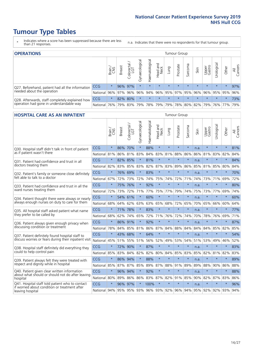- \* Indicates where a score has been suppressed because there are less than 21 responses.
- n.a. Indicates that there were no respondents for that tumour group.

| <b>OPERATIONS</b>                                |            |          |               |                        |                   |                |                  |         | Tumour Group |         |         |                 |                                                 |         |                |
|--------------------------------------------------|------------|----------|---------------|------------------------|-------------------|----------------|------------------|---------|--------------|---------|---------|-----------------|-------------------------------------------------|---------|----------------|
|                                                  |            | Brain    | <b>Breast</b> | iolorectal<br>LGT<br>Ü | ত<br>Gynaecologic | Haematological | Head and<br>Neck | Lung    | Prostate     | Sarcoma | Skin    | Upper<br>Gastro | Jrological                                      | Other   | All<br>Cancers |
| Q27. Beforehand, patient had all the information | CCG        | $\star$  |               | 96% 97%                | $\star$           | $\star$        | $\star$          | $\star$ | $\star$      | $\star$ | $\star$ | $\star$         | $\star$                                         | $\star$ | 97%            |
| needed about the operation                       | National   | 96%      |               | 97% 96%                |                   |                |                  |         |              |         |         |                 | 96% 94% 96% 95% 97% 95% 96% 96% 95% 95% 95% 96% |         |                |
| Q28. Afterwards, staff completely explained how  | <b>CCG</b> | $\star$  |               | 82% 80%                | $\star$           |                | $\star$          | $\star$ | $\star$      | $\star$ | $\star$ | $\star$         | $\star$                                         | $\star$ | 73%            |
| operation had gone in understandable way         | National   | $ 76\% $ |               | 79% 83%                |                   |                | 79% 78% 79%      |         |              |         |         |                 | 79%   78%   80%   82%   79%   76%   77%         |         | 79%            |

#### **HOSPITAL CARE AS AN INPATIENT** Tumour Group

|                                                                                                  |                                          | Brain   | <b>Breast</b> | $\frac{1}{2}$ Colorectal / | Gynaecological | Haematological | Head and<br><b>Neck</b> | Lung        | Prostate | Sarcoma | Skin | Upper<br>Gastro | Urological | Other           | All<br>Cancers |
|--------------------------------------------------------------------------------------------------|------------------------------------------|---------|---------------|----------------------------|----------------|----------------|-------------------------|-------------|----------|---------|------|-----------------|------------|-----------------|----------------|
| Q30. Hospital staff didn't talk in front of patient                                              | CCG                                      | $\star$ | 86%           | 70%                        | $\star$        | 88%            | $\star$                 | $\star$     | $\star$  | $\star$ | n.a. | $\star$         | $\star$    | $\star$         | 81%            |
| as if patient wasn't there                                                                       | National                                 | 81%     | 86%           | 81%                        | 83%            |                | 84% 83%                 | 81%         | 88%      | 86%     | 86%  | 81%             | 83%        | 82%             | 84%            |
| 031. Patient had confidence and trust in all                                                     | CCG                                      | $\star$ | 82% 85%       |                            | $\star$        | 81%            | $\star$                 | $\star$     | $\star$  | $\star$ | n.a. |                 | $\star$    | $\star$         | 84%            |
| doctors treating them                                                                            | National                                 | 82%     | 83%           | 85%                        | 83%            | 82%            | 87%                     | 83%         | 89%      | 86%     | 85%  | 81%             | 85%        | 80%             | 84%            |
| Q32. Patient's family or someone close definitely                                                | CCG                                      | $\star$ | 76% 69%       |                            | $\star$        | 83%            | $\star$                 | $\star$     | $\star$  | $\star$ | n.a. | $\star$         | $\star$    | $\star$         | 70%            |
| felt able to talk to a doctor                                                                    | National                                 | 67%     | 72%           | 73%                        | 72%            | 74%            | 75%                     | 74%         | 72%      | 71%     | 74%  | 73%             | 71%        | 69%             | 72%            |
| O33. Patient had confidence and trust in all the                                                 | CCG                                      | $\star$ | 75%           | 76%                        | $\star$        | 92%            | $\star$                 | $\star$     | $\star$  | $\star$ | n.a. | $\star$         | $\star$    | $\star$         | 80%            |
| ward nurses treating them                                                                        | National                                 | 72%     | 73%           | 72%                        | 71%            | 77%            |                         | 75% 77%     | 79%      | 74%     | 75%  | 73%             | 77%        | 69%             | 74%            |
| Q34. Patient thought there were always or nearly                                                 | CCG                                      | $\star$ |               | 54% 61%                    | $\star$        | 60%            | $\star$                 | $\star$     | $\star$  | $\star$ | n.a. | $\star$         | $\star$    | $\star$         | 60%            |
| always enough nurses on duty to care for them                                                    | National                                 | 68%     | 64%           | 62%                        | 63%            |                |                         | 63% 65% 68% | 72%      | 65%     | 70%  | 65%             | 66%        | 60%             | 64%            |
| Q35. All hospital staff asked patient what name                                                  | CCG                                      | $\star$ | 71% 78%       |                            | $\star$        | 83%            | $\star$                 | $\star$     | $\star$  | $\star$ | n.a. | $\star$         | $\star$    | $\star$         | 77%            |
| they prefer to be called by                                                                      | National                                 | 68%     | 62%           | 74%                        | 65%            | 72%            | 71%                     | 76%         | 72%      | 74%     | 70%  | 78%             | 76%        | 69%             | 71%            |
| Q36. Patient always given enough privacy when                                                    | CCG                                      | $\star$ | 86% 91%       |                            |                | 92%            | $\star$                 | $\star$     | $\star$  | $\star$ | n.a. | $\star$         | $\star$    | $\star$         | 87%            |
| discussing condition or treatment                                                                | National                                 | 78%     | 84% 85%       |                            | 81%            |                |                         | 86% 87% 84% | 88%      | 84%     | 84%  | 84%             | 85%        | 82%             | 85%            |
| Q37. Patient definitely found hospital staff to                                                  | CCG                                      | $\star$ | 43%           | 68%                        |                | 64%            | $\star$                 | $\star$     | $\star$  | $\star$ | n.a. |                 | $\star$    | $\star$         | 54%            |
| discuss worries or fears during their inpatient visit                                            | National                                 | 45%     | 51%           | 55%                        | 51%            | 56%            | 52%                     | 49%         | 53%      | 54%     | 51%  | 53%             | 49%        | 46%             | 52%            |
| Q38. Hospital staff definitely did everything they                                               | CCG                                      | $\star$ | 72%           | 90%                        | $\star$        | 87%            | $\star$                 | $\star$     | $\star$  | $\star$ | n.a. | $\star$         | $\star$    | $\star$         | 83%            |
| could to help control pain                                                                       | National                                 | 85%     | 83%           | 84%                        | 82%            |                |                         | 82% 80% 84% | 85%      | 83%     | 85%  | 82%             | 81%        | 82%             | 83%            |
| Q39. Patient always felt they were treated with                                                  | CCG                                      | $\star$ | 86% 94%       |                            | $\star$        | 88%            | $\star$                 | $\star$     | $\star$  | $\star$ | n.a. | $\star$         | $\star$    | $\star$         | 89%            |
| respect and dignity while in hospital                                                            | National                                 | 85%     | 87%           | 87%                        | 85%            | 89%            | 87%                     | 88%         | 91%      | 89%     | 89%  | 88%             | 90%        | 86%             | 88%            |
| Q40. Patient given clear written information<br>about what should or should not do after leaving | CCG                                      | $\star$ | 96%           | 94%                        | $\star$        | 92%            | $\star$                 | $\star$     | $\star$  | $\star$ | n.a. |                 | $\star$    | $\star$         | 88%            |
| hospital                                                                                         | National                                 | 80%     | 89%           | 86%                        | 86%            |                |                         | 83% 87% 82% | 91%      | 85%     | 90%  | 82%             | 87%        | 83%             | 86%            |
| Q41. Hospital staff told patient who to contact<br>if worried about condition or treatment after | CCG                                      | $\star$ | 96%           | 97%                        | $\star$        | 100%           | $\star$                 | $\star$     | $\star$  | $\star$ | n.a. | $\star$         | $\star$    | $\star$         | 96%            |
| leaving hospital                                                                                 | National 94% 95% 95% 93% 96% 93% 92% 96% |         |               |                            |                |                |                         |             |          | 94%     |      |                 |            | 95% 92% 92% 93% | 94%            |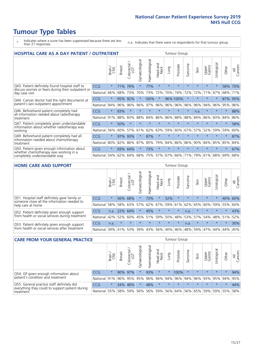- \* Indicates where a score has been suppressed because there are less than 21 responses.
- n.a. Indicates that there were no respondents for that tumour group.

| <b>HOSPITAL CARE AS A DAY PATIENT / OUTPATIENT</b><br><b>Tumour Group</b>                                             |            |         |               |                            |                |                |                                |         |          |              |         |                 |            |         |                |
|-----------------------------------------------------------------------------------------------------------------------|------------|---------|---------------|----------------------------|----------------|----------------|--------------------------------|---------|----------|--------------|---------|-----------------|------------|---------|----------------|
|                                                                                                                       |            | Brain   | <b>Breast</b> | ╮<br>olorectal<br>LGT<br>Ü | Gynaecological | Haematological | <b>Bad and</b><br>Neck<br>Head | Lung    | Prostate | arcoma<br>ŭĭ | Skin    | Upper<br>Gastro | Urological | Other   | All<br>Cancers |
| Q43. Patient definitely found hospital staff to                                                                       | CCG        | $\star$ | 71%           | 79%                        | $\star$        | 77%            | $\star$                        | $\star$ | $\star$  | $\star$      | $\star$ | $\star$         | $\star$    | 58%     | 70%            |
| discuss worries or fears during their outpatient or<br>day case visit                                                 | National   | 66%     | 68%           | 73%                        | 70%            | 73%            | 72%                            | 70%     | 74%      | 72%          | 72%     | 71%             | 67%        | 68%     | 71%            |
| Q44. Cancer doctor had the right documents at<br>patient's last outpatient appointment                                | CCG        | $\star$ | 95%           | 92%                        |                | 100%           | $\ast$                         |         | 96% 100% | $\star$      |         | $\star$         | $\star$    | 87%     | 95%            |
|                                                                                                                       | National   | 94%     | 96%           | 96%                        | 96%            | 97%            | 96%                            | 96%     | 96%      | 96%          | 96%     | 94%             | 96%        | 95%     | 96%            |
| Q46. Beforehand patient completely had                                                                                | <b>CCG</b> | $\star$ | 83%           | $\star$                    |                |                | $\star$                        | $\star$ | $\star$  | $\star$      | n.a.    | $\star$         | $\star$    | $\star$ | 88%            |
| all information needed about radiotherapy<br>treatment                                                                | National   | 91%     | 88%           | 83%                        | 88%            | 84%            | 86%                            | 86%     | 88%      | 88%          | 84%     | 86%             | 83%        | 84%     | 86%            |
| Q47. Patient completely given understandable<br>information about whether radiotherapy was<br>working                 | CCG        | $\star$ | 50%           | $\star$                    | $\star$        |                | $\star$                        | $\star$ | $\star$  | $\star$      | $\star$ | $\star$         | $\star$    | $\ast$  | 58%            |
|                                                                                                                       | National   | 56%     | 60%           | 57%                        | 61%            | 62%            | 63%                            | 59%     | 60%      | 67%          | 57%     | 52%             | 59%        | 59%     | 60%            |
| Q49. Beforehand patient completely had all                                                                            | CCG        | $\star$ | 97%           | 93%                        | $\star$        | 87%            | $\star$                        | $\star$ | $\star$  | $\star$      | $\star$ | $\star$         | $\star$    | $\star$ | 87%            |
| information needed about chemotherapy<br>treatment                                                                    | National   | 80%     | 82%           | 86%                        | 87%            | 85%            | 79%                            | 84%     | 86%      | 86%          | 90%     | 84%             | 85%        | 85%     | 84%            |
| Q50. Patient given enough information about<br>whether chemotherapy was working in a<br>completely understandable way | CCG        | $\star$ | 69%           | 64%                        | $\star$        | 73%            | $\star$                        | $\star$ | $\star$  | $\star$      | $\star$ | $\star$         | $\star$    | $\star$ | 67%            |
|                                                                                                                       | National   | 54%     | 62%           | 64%                        | 68%            | 75%            | 57%                            | 67%     | 66%      | 71%          | 79%     | 61%             | 68%        | 69%     | 68%            |

#### **HOME CARE AND SUPPORT** Tumour Group

|                                                                                                                   |            | Brain   | Breast       | Colorectal<br>LGT | $\sigma$<br>Gynaecologic | Haematological | Head and<br>Neck | <b>Dung</b> | Prostate | Sarcoma | Skin    | Upper<br>Gastro | rological   | Other   | All<br>Cancers |
|-------------------------------------------------------------------------------------------------------------------|------------|---------|--------------|-------------------|--------------------------|----------------|------------------|-------------|----------|---------|---------|-----------------|-------------|---------|----------------|
| Q51. Hospital staff definitely gave family or<br>someone close all the information needed to<br>help care at home | <b>CCG</b> | $\star$ |              | 56% 68%           |                          | 73%            | $\star$          | 52%         | $\star$  | $\star$ | $\star$ | $\star$         | $\star$     | 40%     | 60%            |
|                                                                                                                   | National   | 58%     | 58%          | 63%               | 57%                      | 62%            | 67%              |             | 59% 61%  |         | 62% 65% | 60% 59% 55%     |             |         | 60%            |
| Q52. Patient definitely given enough support<br>from health or social services during treatment                   | <b>CCG</b> |         | n.a. 22% 64% |                   | $\star$                  | 45%            | $\star$          | $\star$     | $\star$  | n.a.    | $\star$ | $\star$         | $\star$     | $\star$ | 43%            |
|                                                                                                                   | National   | 42%     | 52%          | 60%               |                          | 45% 51%        | 59%              | 50%         | 48%      |         | 53% 57% |                 | 54% 48% 51% |         | 52%            |
| Q53. Patient definitely given enough support<br>from health or social services after treatment                    | <b>CCG</b> | n.a.    | $\star$      |                   |                          |                | $\star$          | $\star$     | $\star$  | n.a.    |         | $\star$         | $\star$     | $\star$ | 30%            |
|                                                                                                                   | National l | 39%     | 41% 53%      |                   | 39%                      | 43%            | 56%              | 40%         | 46%      | 48%     | 59%     | 47%             | 44%         | 44%     | 45%            |

| <b>CARE FROM YOUR GENERAL PRACTICE</b>                                                                     |              |         |               |                   |                |                |                  |         | Tumour Group                |         |         |                 |            |         |                |  |  |  |  |  |  |
|------------------------------------------------------------------------------------------------------------|--------------|---------|---------------|-------------------|----------------|----------------|------------------|---------|-----------------------------|---------|---------|-----------------|------------|---------|----------------|--|--|--|--|--|--|
|                                                                                                            |              | Brain   | <b>Breast</b> | Colorectal<br>LGT | Gynaecological | Haematological | Head and<br>Neck | Lung    | Prostate                    | Sarcoma | Skin    | Upper<br>Gastro | Urological | Other   | All<br>Cancers |  |  |  |  |  |  |
| Q54. GP given enough information about<br>patient's condition and treatment                                | CCG          | $\star$ |               | 90% 97%           | $\star$        | 93%            | $\star$          | $\star$ | 100%                        | $\star$ | $\star$ | $\star$         | $\star$    | $\star$ | 94%            |  |  |  |  |  |  |
|                                                                                                            | National 91% |         |               | 96% 95%           | 95%            | 96%            | 94%              |         | 94% 96% 94% 96% 93% 95% 94% |         |         |                 |            |         | 95%            |  |  |  |  |  |  |
| Q55. General practice staff definitely did<br>everything they could to support patient during<br>treatment | <b>CCG</b>   | $\star$ | 34%           | 48%               | $\star$        | 48%            | $\star$          | $\star$ | $\star$                     | $\star$ | $\star$ | $\star$         | $\star$    | $\star$ | 44%            |  |  |  |  |  |  |
|                                                                                                            | National     | 55%     |               | 58% 59%           | 56%            |                | 56% 59%          |         | 56% 64%                     |         | 56% 65% | 59%             |            | 59% 55% | 58%            |  |  |  |  |  |  |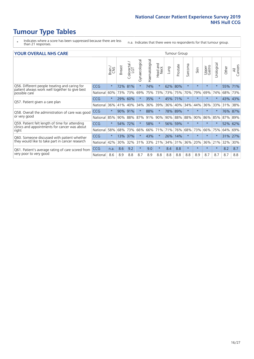- \* Indicates where a score has been suppressed because there are less than 21 responses.
- n.a. Indicates that there were no respondents for that tumour group.

#### **YOUR OVERALL NHS CARE** THE TWO CONTROLLER THE THE THROUP CHANGE THE TUMOUR GROUP

| <u>UUN UTENTEE ITIIJ GANE</u>                                                                                    |            |              |               |                       |                |                |                                 |         |          |                      |         |                 |                            |         |                |  |  |
|------------------------------------------------------------------------------------------------------------------|------------|--------------|---------------|-----------------------|----------------|----------------|---------------------------------|---------|----------|----------------------|---------|-----------------|----------------------------|---------|----------------|--|--|
|                                                                                                                  |            | Brain<br>CNS | <b>Breast</b> | olorectal<br>LGT<br>Ū | Gynaecological | Haematological | <b>Bad and<br/>Neck</b><br>Head | Lung    | Prostate | arcoma<br>$\sqrt{ }$ | Skin    | Upper<br>Gastro | $\overline{c}$<br>Urologia | Other   | All<br>Cancers |  |  |
| Q56. Different people treating and caring for<br>patient always work well together to give best<br>possible care | <b>CCG</b> | $\star$      | 72%           | 81%                   | $\star$        | 74%            | $\star$                         | 62%     | 80%      | $\star$              | $\star$ | $\star$         | $\star$                    | 55% 71% |                |  |  |
|                                                                                                                  | National   | 60%          |               | 73% 73%               | 69%            | 75%            | 73%                             | 73% 75% |          | 70%                  | 79%     | 69%             | 74%                        | 68%     | 73%            |  |  |
| Q57. Patient given a care plan                                                                                   | <b>CCG</b> | $\star$      | 29%           | 60%                   |                | 35%            | $\star$                         | 45% 71% |          | $\star$              | $\star$ | $\star$         |                            | 43% 43% |                |  |  |
|                                                                                                                  | National   | 36%          | 41%           | 40%                   | 34%            | 36%            | 39%                             | 36%     | 40%      | 34%                  | 44%     | 36%             | 33%                        | 31%     | 38%            |  |  |
| Q58. Overall the administration of care was good                                                                 | <b>CCG</b> | $\star$      | 90%           | 91%                   |                | 88%            | $^\star$                        | 78% 89% |          | $\star$              | $\star$ |                 |                            | 76% 87% |                |  |  |
| or very good                                                                                                     | National   | 85%          | $90\%$        | 88%                   | 87%            | 91%            | 90%                             | 90%     | 88%      | 88%                  | 90%     | 86%             | 85%                        | 87% 89% |                |  |  |
| Q59. Patient felt length of time for attending<br>clinics and appointments for cancer was about<br>right         | <b>CCG</b> | $\star$      | 54%           | 72%                   | $\star$        | 58%            | $\star$                         | 56% 59% |          | $\star$              | $\star$ | $\star$         | $\star$                    | 52%     | 62%            |  |  |
|                                                                                                                  | National   | 58%          | 68%           | 73%                   | 66%            | 66%            | 71%                             | 71%     | 76%      | 68%                  | 73%     | 66%             | 75%                        | 64%     | 69%            |  |  |
| Q60. Someone discussed with patient whether                                                                      | <b>CCG</b> | $\star$      | 13%           | 37%                   |                | 43%            | $\star$                         | 26%     | 14%      | $\star$              | $\star$ | $\star$         |                            | 31% 27% |                |  |  |
| they would like to take part in cancer research                                                                  | National   | 42%          | 30%           | 32%                   | 31%            | 33%            | 21%                             | 34%     | 31%      | 36%                  | 20%     | 36%             | 21%                        | 32%     | 30%            |  |  |
| Q61. Patient's average rating of care scored from<br>very poor to very good                                      | CCG        | n.a.         | 8.6           | 9.2                   | $\star$        | 9.0            | $\star$                         | 8.4     | 8.8      | $\star$              | $\star$ | $\star$         | $\star$                    | 8.2     | 8.7            |  |  |
|                                                                                                                  | National   | 8.6          | 8.9           | 8.8                   | 8.7            | 8.9            | 8.8                             | 8.8     | 8.8      | 8.8                  | 8.9     | 8.7             | 8.7                        | 8.7     | 8.8            |  |  |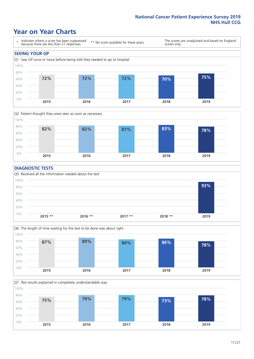### **Year on Year Charts**





### **DIAGNOSTIC TESTS**





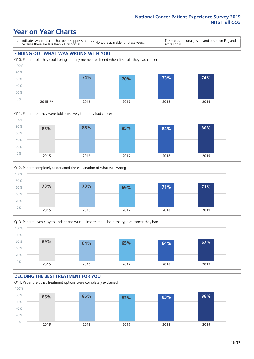## **Year on Year Charts**

\* Indicates where a score has been suppressed because there are less than 21 responses.

\*\* No score available for these years.

The scores are unadjusted and based on England scores only.

### **FINDING OUT WHAT WAS WRONG WITH YOU** Q10. Patient told they could bring a family member or friend when first told they had cancer 0% 20% 40% 60% 80% 100% **2015 \*\* 2016 2017 2018 2019 74% 70% 73% 74%**







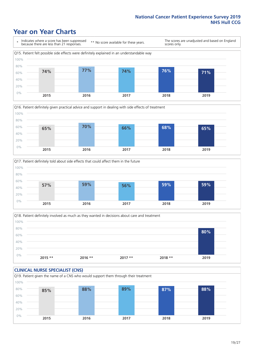### **Year on Year Charts**







Q18. Patient definitely involved as much as they wanted in decisions about care and treatment  $0%$ 20% 40% 60% 80% 100% **2015 \*\* 2016 \*\* 2017 \*\* 2018 \*\* 2019 80%**

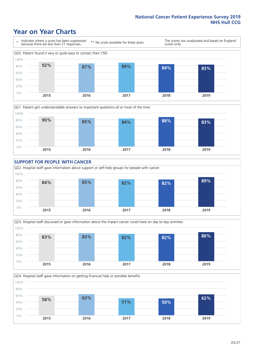### **Year on Year Charts**











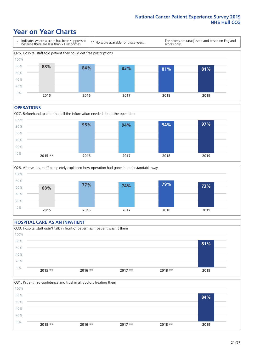### **Year on Year Charts**



#### **OPERATIONS**





### **HOSPITAL CARE AS AN INPATIENT** Q30. Hospital staff didn't talk in front of patient as if patient wasn't there 0% 20% 40% 60% 80% 100% **2015 \*\* 2016 \*\* 2017 \*\* 2018 \*\* 2019 81%**

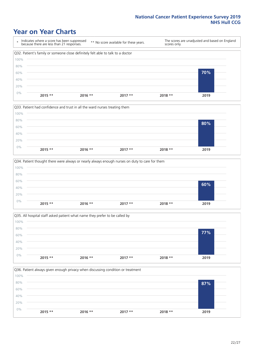### **Year on Year Charts**









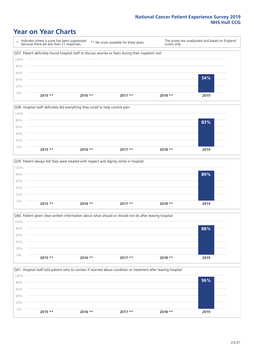### **Year on Year Charts**

\* Indicates where a score has been suppressed because there are less than 21 responses. \*\* No score available for these years. The scores are unadjusted and based on England scores only. Q37. Patient definitely found hospital staff to discuss worries or fears during their inpatient visit 0% 20% 40% 60% 80% 100% **2015 \*\* 2016 \*\* 2017 \*\* 2018 \*\* 2019 54%**







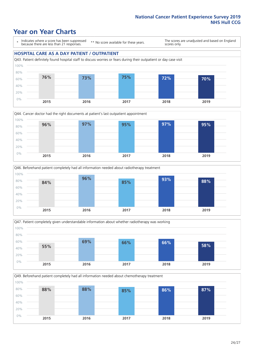### **Year on Year Charts**

\* Indicates where a score has been suppressed because there are less than 21 responses.

\*\* No score available for these years.

The scores are unadjusted and based on England scores only.

#### **HOSPITAL CARE AS A DAY PATIENT / OUTPATIENT**









Q49. Beforehand patient completely had all information needed about chemotherapy treatment 0% 20% 40% 60% 80% 100% **2015 2016 2017 2018 2019 88% 88% 85% 86% 87%**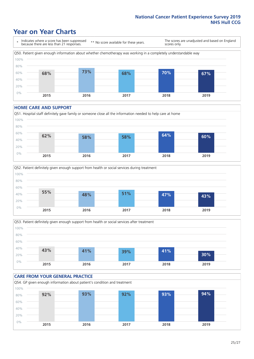## **Year on Year Charts**

\* Indicates where a score has been suppressed because there are less than 21 responses. \*\* No score available for these years. The scores are unadjusted and based on England scores only. Q50. Patient given enough information about whether chemotherapy was working in a completely understandable way 0% 20% 40% 60% 80% 100% **2015 2016 2017 2018 2019 68% 73% 68% 70% 67%**

#### **HOME CARE AND SUPPORT**







### **CARE FROM YOUR GENERAL PRACTICE** Q54. GP given enough information about patient's condition and treatment 0% 20% 40% 60% 80% 100% **2015 2016 2017 2018 2019 92% 93% 92% 93% 94%**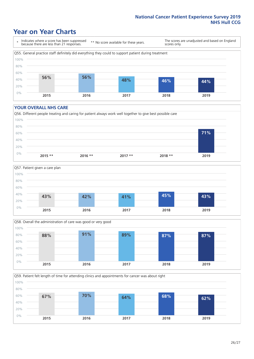### **Year on Year Charts**

\* Indicates where a score has been suppressed because there are less than 21 responses.

\*\* No score available for these years.

The scores are unadjusted and based on England scores only.



#### **YOUR OVERALL NHS CARE**







Q59. Patient felt length of time for attending clinics and appointments for cancer was about right